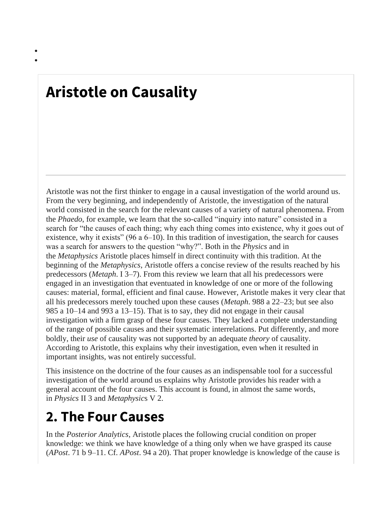## **Aristotle on Causality**

• •

> Aristotle was not the first thinker to engage in a causal investigation of the world around us. From the very beginning, and independently of Aristotle, the investigation of the natural world consisted in the search for the relevant causes of a variety of natural phenomena. From the *Phaedo*, for example, we learn that the so-called "inquiry into nature" consisted in a search for "the causes of each thing; why each thing comes into existence, why it goes out of existence, why it exists" (96 a 6–10). In this tradition of investigation, the search for causes was a search for answers to the question "why?". Both in the *Physics* and in the *Metaphysics* Aristotle places himself in direct continuity with this tradition. At the beginning of the *Metaphysics*, Aristotle offers a concise review of the results reached by his predecessors (*Metaph*. I 3–7). From this review we learn that all his predecessors were engaged in an investigation that eventuated in knowledge of one or more of the following causes: material, formal, efficient and final cause. However, Aristotle makes it very clear that all his predecessors merely touched upon these causes (*Metaph*. 988 a 22–23; but see also 985 a 10–14 and 993 a 13–15). That is to say, they did not engage in their causal investigation with a firm grasp of these four causes. They lacked a complete understanding of the range of possible causes and their systematic interrelations. Put differently, and more boldly, their *use* of causality was not supported by an adequate *theory* of causality. According to Aristotle, this explains why their investigation, even when it resulted in important insights, was not entirely successful.

This insistence on the doctrine of the four causes as an indispensable tool for a successful investigation of the world around us explains why Aristotle provides his reader with a general account of the four causes. This account is found, in almost the same words, in *Physics* II 3 and *Metaphysic*s V 2.

## **2. The Four Causes**

In the *Posterior Analytics*, Aristotle places the following crucial condition on proper knowledge: we think we have knowledge of a thing only when we have grasped its cause (*APost*. 71 b 9–11. Cf. *APost*. 94 a 20). That proper knowledge is knowledge of the cause is